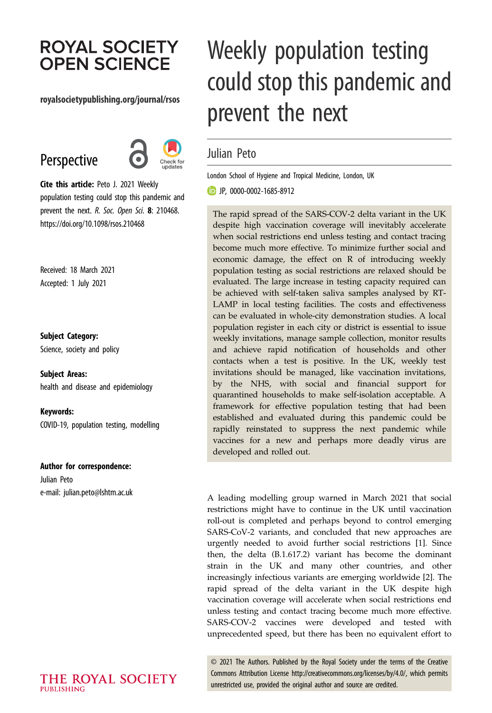## **ROYAL SOCIETY OPEN SCIENCE**

#### royalsocietypublishing.org/journal/rsos

## Perspective



Cite this article: Peto J. 2021 Weekly population testing could stop this pandemic and prevent the next. R. Soc. Open Sci. 8: 210468. https://doi.org/10.1098/rsos.210468

Received: 18 March 2021 Accepted: 1 July 2021

#### Subject Category:

Science, society and policy

Subject Areas: health and disease and epidemiology

Keywords: COVID-19, population testing, modelling

#### Author for correspondence:

Julian Peto e-mail: [julian.peto@lshtm.ac.uk](mailto:julian.peto@lshtm.ac.uk)

# Weekly population testing could stop this pandemic and prevent the next

### Julian Peto

London School of Hygiene and Tropical Medicine, London, UK

JP, [0000-0002-1685-8912](http://orcid.org/0000-0002-1685-8912)

The rapid spread of the SARS-COV-2 delta variant in the UK despite high vaccination coverage will inevitably accelerate when social restrictions end unless testing and contact tracing become much more effective. To minimize further social and economic damage, the effect on R of introducing weekly population testing as social restrictions are relaxed should be evaluated. The large increase in testing capacity required can be achieved with self-taken saliva samples analysed by RT-LAMP in local testing facilities. The costs and effectiveness can be evaluated in whole-city demonstration studies. A local population register in each city or district is essential to issue weekly invitations, manage sample collection, monitor results and achieve rapid notification of households and other contacts when a test is positive. In the UK, weekly test invitations should be managed, like vaccination invitations, by the NHS, with social and financial support for quarantined households to make self-isolation acceptable. A framework for effective population testing that had been established and evaluated during this pandemic could be rapidly reinstated to suppress the next pandemic while vaccines for a new and perhaps more deadly virus are developed and rolled out.

A leading modelling group warned in March 2021 that social restrictions might have to continue in the UK until vaccination roll-out is completed and perhaps beyond to control emerging SARS-CoV-2 variants, and concluded that new approaches are urgently needed to avoid further social restrictions [[1](#page-2-0)]. Since then, the delta (B.1.617.2) variant has become the dominant strain in the UK and many other countries, and other increasingly infectious variants are emerging worldwide [[2](#page-2-0)]. The rapid spread of the delta variant in the UK despite high vaccination coverage will accelerate when social restrictions end unless testing and contact tracing become much more effective. SARS-COV-2 vaccines were developed and tested with unprecedented speed, but there has been no equivalent effort to

© 2021 The Authors. Published by the Royal Society under the terms of the Creative Commons Attribution License<http://creativecommons.org/licenses/by/4.0/>, which permits unrestricted use, provided the original author and source are credited.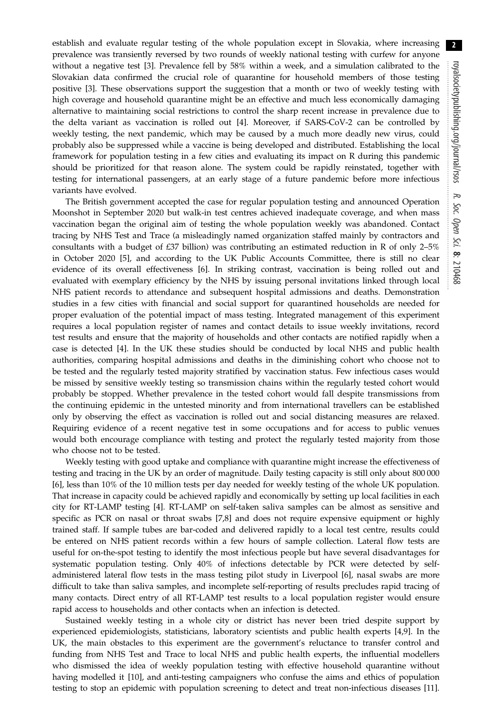establish and evaluate regular testing of the whole population except in Slovakia, where increasing prevalence was transiently reversed by two rounds of weekly national testing with curfew for anyone without a negative test [[3](#page-2-0)]. Prevalence fell by 58% within a week, and a simulation calibrated to the Slovakian data confirmed the crucial role of quarantine for household members of those testing positive [\[3\]](#page-2-0). These observations support the suggestion that a month or two of weekly testing with high coverage and household quarantine might be an effective and much less economically damaging alternative to maintaining social restrictions to control the sharp recent increase in prevalence due to the delta variant as vaccination is rolled out [\[4\]](#page-2-0). Moreover, if SARS-CoV-2 can be controlled by weekly testing, the next pandemic, which may be caused by a much more deadly new virus, could probably also be suppressed while a vaccine is being developed and distributed. Establishing the local framework for population testing in a few cities and evaluating its impact on R during this pandemic should be prioritized for that reason alone. The system could be rapidly reinstated, together with testing for international passengers, at an early stage of a future pandemic before more infectious variants have evolved.

The British government accepted the case for regular population testing and announced Operation Moonshot in September 2020 but walk-in test centres achieved inadequate coverage, and when mass vaccination began the original aim of testing the whole population weekly was abandoned. Contact tracing by NHS Test and Trace (a misleadingly named organization staffed mainly by contractors and consultants with a budget of £37 billion) was contributing an estimated reduction in R of only 2–5% in October 2020 [\[5\]](#page-2-0), and according to the UK Public Accounts Committee, there is still no clear evidence of its overall effectiveness [\[6\]](#page-2-0). In striking contrast, vaccination is being rolled out and evaluated with exemplary efficiency by the NHS by issuing personal invitations linked through local NHS patient records to attendance and subsequent hospital admissions and deaths. Demonstration studies in a few cities with financial and social support for quarantined households are needed for proper evaluation of the potential impact of mass testing. Integrated management of this experiment requires a local population register of names and contact details to issue weekly invitations, record test results and ensure that the majority of households and other contacts are notified rapidly when a case is detected [[4](#page-2-0)]. In the UK these studies should be conducted by local NHS and public health authorities, comparing hospital admissions and deaths in the diminishing cohort who choose not to be tested and the regularly tested majority stratified by vaccination status. Few infectious cases would be missed by sensitive weekly testing so transmission chains within the regularly tested cohort would probably be stopped. Whether prevalence in the tested cohort would fall despite transmissions from the continuing epidemic in the untested minority and from international travellers can be established only by observing the effect as vaccination is rolled out and social distancing measures are relaxed. Requiring evidence of a recent negative test in some occupations and for access to public venues would both encourage compliance with testing and protect the regularly tested majority from those who choose not to be tested.

Weekly testing with good uptake and compliance with quarantine might increase the effectiveness of testing and tracing in the UK by an order of magnitude. Daily testing capacity is still only about 800 000 [\[6\]](#page-2-0), less than 10% of the 10 million tests per day needed for weekly testing of the whole UK population. That increase in capacity could be achieved rapidly and economically by setting up local facilities in each city for RT-LAMP testing [[4](#page-2-0)]. RT-LAMP on self-taken saliva samples can be almost as sensitive and specific as PCR on nasal or throat swabs [[7,8\]](#page-2-0) and does not require expensive equipment or highly trained staff. If sample tubes are bar-coded and delivered rapidly to a local test centre, results could be entered on NHS patient records within a few hours of sample collection. Lateral flow tests are useful for on-the-spot testing to identify the most infectious people but have several disadvantages for systematic population testing. Only 40% of infections detectable by PCR were detected by selfadministered lateral flow tests in the mass testing pilot study in Liverpool [\[6\]](#page-2-0), nasal swabs are more difficult to take than saliva samples, and incomplete self-reporting of results precludes rapid tracing of many contacts. Direct entry of all RT-LAMP test results to a local population register would ensure rapid access to households and other contacts when an infection is detected.

Sustained weekly testing in a whole city or district has never been tried despite support by experienced epidemiologists, statisticians, laboratory scientists and public health experts [[4,9\]](#page-2-0). In the UK, the main obstacles to this experiment are the government's reluctance to transfer control and funding from NHS Test and Trace to local NHS and public health experts, the influential modellers who dismissed the idea of weekly population testing with effective household quarantine without having modelled it [[10\]](#page-2-0), and anti-testing campaigners who confuse the aims and ethics of population testing to stop an epidemic with population screening to detect and treat non-infectious diseases [[11](#page-2-0)].